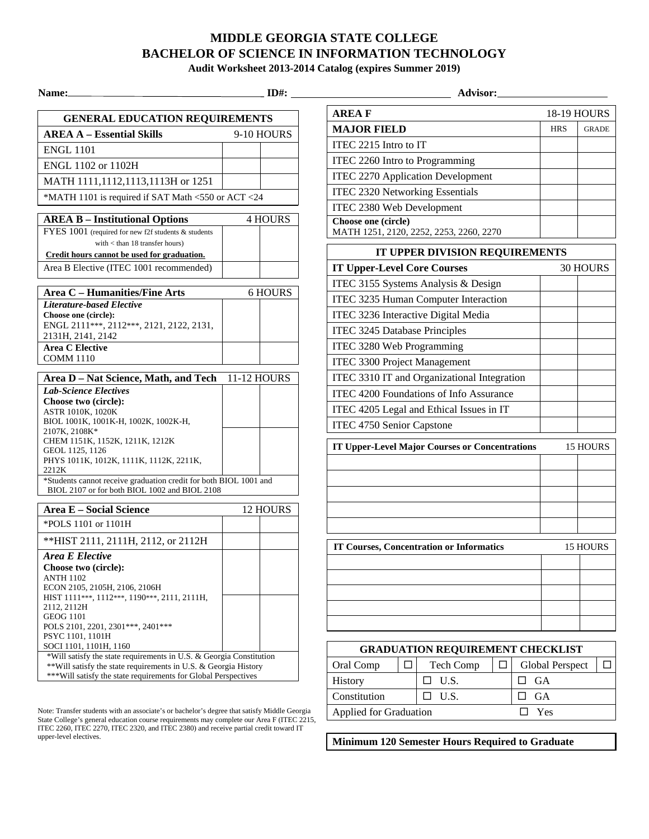## **MIDDLE GEORGIA STATE COLLEGE BACHELOR OF SCIENCE IN INFORMATION TECHNOLOGY**

**Audit Worksheet 2013-2014 Catalog (expires Summer 2019)** 

| <b>GENERAL EDUCATION REQUIREMENTS</b>                               |             |          |  |  |
|---------------------------------------------------------------------|-------------|----------|--|--|
| <b>AREA A – Essential Skills</b>                                    | 9-10 HOURS  |          |  |  |
| <b>ENGL 1101</b>                                                    |             |          |  |  |
| ENGL 1102 or 1102H                                                  |             |          |  |  |
| MATH 1111,1112,1113,1113H or 1251                                   |             |          |  |  |
| *MATH 1101 is required if SAT Math <550 or ACT <24                  |             |          |  |  |
|                                                                     |             |          |  |  |
| <b>AREA B - Institutional Options</b>                               |             | 4 HOURS  |  |  |
| FYES 1001 (required for new f2f students & students                 |             |          |  |  |
| with $<$ than 18 transfer hours)                                    |             |          |  |  |
| Credit hours cannot be used for graduation.                         |             |          |  |  |
| Area B Elective (ITEC 1001 recommended)                             |             |          |  |  |
|                                                                     |             |          |  |  |
| Area C - Humanities/Fine Arts                                       |             | 6 HOURS  |  |  |
| <b>Literature-based Elective</b>                                    |             |          |  |  |
| Choose one (circle):                                                |             |          |  |  |
| ENGL 2111***, 2112***, 2121, 2122, 2131,                            |             |          |  |  |
| 2131H, 2141, 2142                                                   |             |          |  |  |
| <b>Area C Elective</b><br><b>COMM 1110</b>                          |             |          |  |  |
|                                                                     |             |          |  |  |
| Area D - Nat Science, Math, and Tech                                | 11-12 HOURS |          |  |  |
| <b>Lab-Science Electives</b>                                        |             |          |  |  |
| Choose two (circle):                                                |             |          |  |  |
| ASTR 1010K, 1020K                                                   |             |          |  |  |
| BIOL 1001K, 1001K-H, 1002K, 1002K-H,                                |             |          |  |  |
| 2107K, 2108K*<br>CHEM 1151K, 1152K, 1211K, 1212K                    |             |          |  |  |
| GEOL 1125, 1126                                                     |             |          |  |  |
| PHYS 1011K, 1012K, 1111K, 1112K, 2211K,<br>2212K                    |             |          |  |  |
| *Students cannot receive graduation credit for both BIOL 1001 and   |             |          |  |  |
| BIOL 2107 or for both BIOL 1002 and BIOL 2108                       |             |          |  |  |
| <b>Area E - Social Science</b>                                      |             | 12 HOURS |  |  |
| *POLS 1101 or 1101H                                                 |             |          |  |  |
| ** HIST 2111, 2111H, 2112, or 2112H                                 |             |          |  |  |
| Area E Elective                                                     |             |          |  |  |
| Choose two (circle):                                                |             |          |  |  |
| <b>ANTH 1102</b>                                                    |             |          |  |  |
| ECON 2105, 2105H, 2106, 2106H                                       |             |          |  |  |
| HIST 1111***, 1112***, 1190***, 2111, 2111H,                        |             |          |  |  |
| 2112, 2112H                                                         |             |          |  |  |
| <b>GEOG 1101</b>                                                    |             |          |  |  |
| POLS 2101, 2201, 2301 ***, 2401 ***<br>PSYC 1101, 1101H             |             |          |  |  |
| SOCI 1101, 1101H, 1160                                              |             |          |  |  |
| *Will satisfy the state requirements in U.S. & Georgia Constitution |             |          |  |  |
| ** Will satisfy the state requirements in U.S. & Georgia History    |             |          |  |  |
| *** Will satisfy the state requirements for Global Perspectives     |             |          |  |  |

Note: Transfer students with an associate's or bachelor's degree that satisfy Middle Georgia State College's general education course requirements may complete our Area F (ITEC 2215, ITEC 2260, ITEC 2270, ITEC 2320, and ITEC 2380) and receive partial credit toward IT upper-level electives.

| <b>GENERAL EDUCATION REQUIREMENTS</b>                                                                                                  |                | <b>AREAF</b>                                          |                 | <b>18-19 HOURS</b> |
|----------------------------------------------------------------------------------------------------------------------------------------|----------------|-------------------------------------------------------|-----------------|--------------------|
| <b>AREA A - Essential Skills</b>                                                                                                       | 9-10 HOURS     | <b>MAJOR FIELD</b>                                    | <b>HRS</b>      | <b>GRADE</b>       |
| <b>ENGL 1101</b>                                                                                                                       |                | ITEC 2215 Intro to IT                                 |                 |                    |
| ENGL 1102 or 1102H                                                                                                                     |                | ITEC 2260 Intro to Programming                        |                 |                    |
| MATH 1111,1112,1113,1113H or 1251                                                                                                      |                | <b>ITEC 2270 Application Development</b>              |                 |                    |
|                                                                                                                                        |                | ITEC 2320 Networking Essentials                       |                 |                    |
| *MATH 1101 is required if SAT Math <550 or ACT <24                                                                                     |                | ITEC 2380 Web Development                             |                 |                    |
| <b>AREA B - Institutional Options</b>                                                                                                  | <b>4 HOURS</b> | Choose one (circle)                                   |                 |                    |
| FYES 1001 (required for new f2f students & students                                                                                    |                | MATH 1251, 2120, 2252, 2253, 2260, 2270               |                 |                    |
| with < than 18 transfer hours)<br>Credit hours cannot be used for graduation.                                                          |                | IT UPPER DIVISION REQUIREMENTS                        |                 |                    |
| Area B Elective (ITEC 1001 recommended)                                                                                                |                | <b>IT Upper-Level Core Courses</b>                    |                 | 30 HOURS           |
|                                                                                                                                        |                | ITEC 3155 Systems Analysis & Design                   |                 |                    |
| <b>Area C - Humanities/Fine Arts</b>                                                                                                   | 6 HOURS        | ITEC 3235 Human Computer Interaction                  |                 |                    |
| <b>Literature-based Elective</b><br>Choose one (circle):                                                                               |                | ITEC 3236 Interactive Digital Media                   |                 |                    |
| ENGL 2111***, 2112***, 2121, 2122, 2131,                                                                                               |                | <b>ITEC 3245 Database Principles</b>                  |                 |                    |
| 2131H, 2141, 2142                                                                                                                      |                |                                                       |                 |                    |
| <b>Area C Elective</b><br><b>COMM 1110</b>                                                                                             |                | ITEC 3280 Web Programming                             |                 |                    |
|                                                                                                                                        |                | <b>ITEC 3300 Project Management</b>                   |                 |                    |
| Area D - Nat Science, Math, and Tech 11-12 HOURS                                                                                       |                | ITEC 3310 IT and Organizational Integration           |                 |                    |
| <b>Lab-Science Electives</b><br>Choose two (circle):                                                                                   |                | ITEC 4200 Foundations of Info Assurance               |                 |                    |
| ASTR 1010K, 1020K                                                                                                                      |                | ITEC 4205 Legal and Ethical Issues in IT              |                 |                    |
| BIOL 1001K, 1001K-H, 1002K, 1002K-H,<br>2107K, 2108K*                                                                                  |                | ITEC 4750 Senior Capstone                             |                 |                    |
| CHEM 1151K, 1152K, 1211K, 1212K                                                                                                        |                | <b>IT Upper-Level Major Courses or Concentrations</b> |                 | 15 HOURS           |
| GEOL 1125, 1126<br>PHYS 1011K, 1012K, 1111K, 1112K, 2211K,                                                                             |                |                                                       |                 |                    |
| 2212K                                                                                                                                  |                |                                                       |                 |                    |
| *Students cannot receive graduation credit for both BIOL 1001 and<br>BIOL 2107 or for both BIOL 1002 and BIOL 2108                     |                |                                                       |                 |                    |
|                                                                                                                                        |                |                                                       |                 |                    |
| <b>Area E - Social Science</b>                                                                                                         | 12 HOURS       |                                                       |                 |                    |
| *POLS 1101 or 1101H                                                                                                                    |                |                                                       |                 |                    |
| ** HIST 2111, 2111H, 2112, or 2112H                                                                                                    |                | <b>IT Courses, Concentration or Informatics</b>       |                 | 15 HOURS           |
| <b>Area E Elective</b>                                                                                                                 |                |                                                       |                 |                    |
| Choose two (circle):<br><b>ANTH 1102</b>                                                                                               |                |                                                       |                 |                    |
| ECON 2105, 2105H, 2106, 2106H                                                                                                          |                |                                                       |                 |                    |
| HIST 1111***, 1112***, 1190***, 2111, 2111H,                                                                                           |                |                                                       |                 |                    |
| 2112, 2112H<br><b>GEOG 1101</b>                                                                                                        |                |                                                       |                 |                    |
| POLS 2101, 2201, 2301***, 2401***                                                                                                      |                |                                                       |                 |                    |
| PSYC 1101, 1101H                                                                                                                       |                |                                                       |                 |                    |
| SOCI 1101, 1101H, 1160                                                                                                                 |                | <b>GRADUATION REQUIREMENT CHECKLIST</b>               |                 |                    |
| *Will satisfy the state requirements in U.S. & Georgia Constitution<br>**Will satisfy the state requirements in U.S. & Georgia History |                | $\Box$<br>Oral Comp<br>Tech Comp<br>$\Box$            | Global Perspect | $\Box$             |

Applied for Graduation  $\square$  Yes

**Minimum 120 Semester Hours Required to Graduate** 

History  $\Box$  U.S.  $\Box$  GA Constitution  $\Box$  U.S.  $\Box$  GA